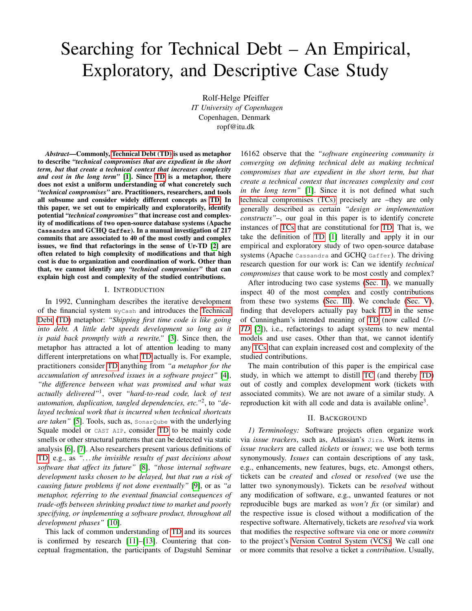# <span id="page-0-1"></span>Searching for Technical Debt – An Empirical, Exploratory, and Descriptive Case Study

Rolf-Helge Pfeiffer *IT University of Copenhagen* Copenhagen, Denmark ropf@itu.dk

*Abstract*—Commonly, Technical Debt (TD) is used as metaphor to describe *"technical compromises that are expedient in the short term, but that create a technical context that increases complexity and cost in the long term"* [\[1\]](#page-4-0). Since TD is a metaphor, there does not exist a uniform understanding of what concretely such *"technical compromises"* are. Practitioners, researchers, and tools all subsume and consider widely different concepts as TD. In this paper, we set out to empirically and exploratorily, identify potential *"technical compromises"* that increase cost and complexity of modifications of two open-source database systems (Apache **Cassandra** and GCHQ **Gaffer**). In a manual investigation of 217 commits that are associated to 40 of the most costly and complex issues, we find that refactorings in the sense of Ur-TD [\[2\]](#page-4-1) are often related to high complexity of modifications and that high cost is due to organization and coordination of work. Other than that, we cannot identify any *"technical compromises"* that can explain high cost and complexity of the studied contributions.

### I. INTRODUCTION

<span id="page-0-2"></span>In 1992, Cunningham describes the iterative development of the financial system WyCash and introduces the Technical Debt (TD) metaphor: *"Shipping first time code is like going into debt. A little debt speeds development so long as it is paid back promptly with a rewrite."* [\[3\]](#page-4-2). Since then, the metaphor has attracted a lot of attention leading to many different interpretations on what TD actually is. For example, practitioners consider TD anything from *"a metaphor for the accumulation of unresolved issues in a software project"* [\[4\]](#page-4-3), *"the difference between what was promised and what was actually delivered"*<sup>1</sup> , over *"hard-to-read code, lack of test automation, duplication, tangled dependencies, etc."*<sup>2</sup> , to *"delayed technical work that is incurred when technical shortcuts are taken"* [\[5\]](#page-4-4). Tools, such as, SonarQube with the underlying Squale model or CAST AIP, consider TD to be mainly code smells or other structural patterns that can be detected via static analysis [\[6\]](#page-4-5), [\[7\]](#page-4-6). Also researchers present various definitions of TD, e.g., as *". . . the invisible results of past decisions about software that affect its future"* [\[8\]](#page-4-7), *"those internal software development tasks chosen to be delayed, but that run a risk of causing future problems if not done eventually"* [\[9\]](#page-4-8), or as *"a metaphor, referring to the eventual financial consequences of trade-offs between shrinking product time to market and poorly specifying, or implementing a software product, throughout all development phases"* [\[10\]](#page-4-9).

This lack of common understanding of TD and its sources is confirmed by research [\[11\]](#page-4-10)–[\[13\]](#page-4-11). Countering that conceptual fragmentation, the participants of Dagstuhl Seminar

16162 observe that the *"software engineering community is converging on defining technical debt as making technical compromises that are expedient in the short term, but that create a technical context that increases complexity and cost in the long term"* [\[1\]](#page-4-0). Since it is not defined what such technical compromises (TCs) precisely are –they are only generally described as certain *"design or implementation constructs"*–, our goal in this paper is to identify concrete instances of TCs that are constitutional for TD. That is, we take the definition of TD [\[1\]](#page-4-0) literally and apply it in our empirical and exploratory study of two open-source database systems (Apache Cassandra and GCHQ Gaffer). The driving research question for our work is: Can we identify *technical compromises* that cause work to be most costly and complex?

After introducing two case systems [\(Sec. II\)](#page-0-0), we manually inspect 40 of the most complex and costly contributions from these two systems [\(Sec. III\)](#page-1-0). We conclude [\(Sec. V\)](#page-3-0), finding that developers actually pay back TD in the sense of Cunningham's intended meaning of TD (now called *Ur-TD* [\[2\]](#page-4-1)), i.e., refactorings to adapt systems to new mental models and use cases. Other than that, we cannot identify any TCs that can explain increased cost and complexity of the studied contributions.

The main contribution of this paper is the empirical case study, in which we attempt to distill TC (and thereby TD) out of costly and complex development work (tickets with associated commits). We are not aware of a similar study. A reproduction kit with all code and data is available online<sup>3</sup>.

#### II. BACKGROUND

<span id="page-0-0"></span>*1) Terminology:* Software projects often organize work via *issue trackers*, such as, Atlassian's Jira. Work items in *issue trackers* are called *tickets* or *issues*; we use both terms synonymously. *Issues* can contain descriptions of any task, e.g., enhancements, new features, bugs, etc. Amongst others, tickets can be *created* and *closed* or *resolved* (we use the latter two synonymously). Tickets can be *resolved* without any modification of software, e.g., unwanted features or not reproducible bugs are marked as *won't fix* (or similar) and the respective issue is closed without a modification of the respective software. Alternatively, tickets are *resolved* via work that modifies the respective software via one or more *commits* to the project's Version Control System (VCS). We call one or more commits that resolve a ticket a *contribution*. Usually,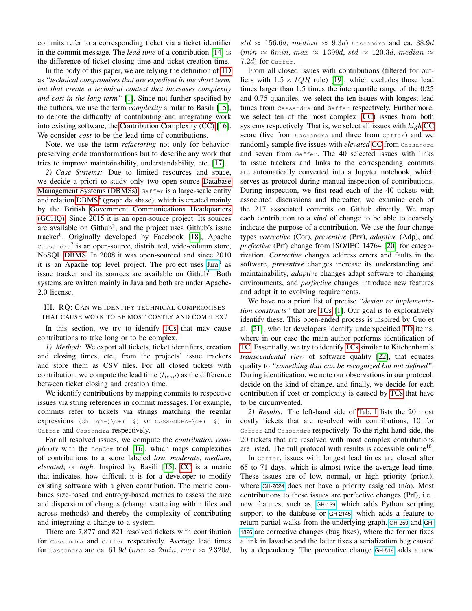commits refer to a corresponding ticket via a ticket identifier in the commit message. The *lead time* of a contribution [\[14\]](#page-4-12) is the difference of ticket closing time and ticket creation time.

In the body of this paper, we are relying the definition of [TD](#page-0-1) as *"technical compromises that are expedient in the short term, but that create a technical context that increases complexity and cost in the long term"* [\[1\]](#page-4-0). Since not further specified by the authors, we use the term *complexity* similar to Basili [\[15\]](#page-4-13), to denote the difficulty of contributing and integrating work into existing software, the [Contribution Complexity \(CC\)](#page-0-1) [\[16\]](#page-4-14). We consider *cost* to be the lead time of contributions.

Note, we use the term *refactoring* not only for behaviorpreserving code transformations but to describe any work that tries to improve maintainability, understandability, etc. [\[17\]](#page-4-15).

*2) Case Systems:* Due to limited resources and space, we decide a priori to study only two open-source [Database](#page-0-1) [Management Systems \(DBMSs\).](#page-0-1) Gaffer is a large-scale entity and relation [DBMS](#page-0-1)<sup>4</sup> (graph database), which is created mainly by the British [Government Communications Headquarters](#page-0-1) [\(GCHQ\).](#page-0-1) Since 2015 it is an open-source project. Its sources are available on Github<sup>5</sup>, and the project uses Github's issue tracker<sup>6</sup>. Originally developed by Facebook [\[18\]](#page-4-16), Apache Cassandra<sup>7</sup> is an open-source, distributed, wide-column store, NoSQL [DBMS.](#page-0-1) In 2008 it was open-sourced and since 2010 it is an Apache top level project. The project uses [Jira](https://issues.apache.org/jira/projects/CASSANDRA)<sup>8</sup> as issue tracker and its sources are available on Github<sup>9</sup>. Both systems are written mainly in Java and both are under Apache-2.0 license.

# <span id="page-1-0"></span>III. RQ: CAN WE IDENTIFY TECHNICAL COMPROMISES THAT CAUSE WORK TO BE MOST COSTLY AND COMPLEX?

In this section, we try to identify [TCs](#page-0-1) that may cause contributions to take long or to be complex.

*1) Method:* We export all tickets, ticket identifiers, creation and closing times, etc., from the projects' issue trackers and store them as CSV files. For all closed tickets with contribution, we compute the lead time  $(t_{lead})$  as the difference between ticket closing and creation time.

We identify contributions by mapping commits to respective issues via string references in commit messages. For example, commits refer to tickets via strings matching the regular expressions (Gh  $|gh-\rangle\det(-\xi)$  or CASSANDRA- $\det(-\xi)$  in Gaffer and Cassandra respectively.

For all resolved issues, we compute the *contribution complexity* with the ConCom tool [\[16\]](#page-4-14), which maps complexities of contributions to a score labeled *low*, *moderate*, *medium*, *elevated*, or *high*. Inspired by Basili [\[15\]](#page-4-13), [CC](#page-0-1) is a metric that indicates, how difficult it is for a developer to modify existing software with a given contribution. The metric combines size-based and entropy-based metrics to assess the size and dispersion of changes (change scattering within files and across methods) and thereby the complexity of contributing and integrating a change to a system.

There are 7,877 and 821 resolved tickets with contribution for Cassandra and Gaffer respectively. Average lead times for Cassandra are ca. 61.9d (min  $\approx 2min$ , max  $\approx 2320d$ ,

std  $\approx$  156.6d, median  $\approx$  9.3d) Cassandra and ca. 38.9d  $(min \approx 6min, max \approx 1399d, std \approx 120.3d, median \approx$  $7.2d$ ) for Gaffer.

From all closed issues with contributions (filtered for outliers with  $1.5 \times IQR$  rule) [\[19\]](#page-4-17), which excludes those lead times larger than 1.5 times the interquartile range of the 0.25 and 0.75 quantiles, we select the ten issues with longest lead times from Cassandra and Gaffer respectively. Furthermore, we select ten of the most complex [\(CC\)](#page-0-1) issues from both systems respectively. That is, we select all issues with *high* [CC](#page-0-1) score (five from Cassandra and three from Gaffer) and we randomly sample five issues with *elevated* [CC](#page-0-1) from Cassandra and seven from Gaffer. The 40 selected issues with links to issue trackers and links to the corresponding commits are automatically converted into a Jupyter notebook, which serves as protocol during manual inspection of contributions. During inspection, we first read each of the 40 tickets with associated discussions and thereafter, we examine each of the 217 associated commits on Github directly. We map each contribution to a *kind* of change to be able to coarsely indicate the purpose of a contribution. We use the four change types *corrective* (Cor), *preventive* (Prv), *adaptive* (Adp), and *perfective* (Prf) change from ISO/IEC 14764 [\[20\]](#page-4-18) for categorization. *Corrective* changes address errors and faults in the software, *preventive* changes increase its understanding and maintainability, *adaptive* changes adapt software to changing environments, and *perfective* changes introduce new features and adapt it to evolving requirements.

We have no a priori list of precise *"design or implementation constructs"* that are [TCs](#page-0-1) [\[1\]](#page-4-0). Our goal is to exploratively identify these. This open-ended process is inspired by Guo et al. [\[21\]](#page-4-19), who let developers identify underspecified [TD](#page-0-1) items, where in our case the main author performs identification of [TC.](#page-0-1) Essentially, we try to identify [TCs](#page-0-1) similar to Kitchenham's *transcendental view* of software quality [\[22\]](#page-4-20), that equates quality to *"something that can be recognized but not defined"*. During identification, we note our observations in our protocol, decide on the kind of change, and finally, we decide for each contribution if cost or complexity is caused by [TCs](#page-0-1) that have to be circumvented.

*2) Results:* The left-hand side of [Tab. I](#page-2-0) lists the 20 most costly tickets that are resolved with contributions, 10 for Gaffer and Cassandra respectively. To the right-hand side, the 20 tickets that are resolved with most complex contributions are listed. The full protocol with results is accessible online<sup>10</sup>.

In Gaffer, issues with longest lead times are closed after 65 to 71 days, which is almost twice the average lead time. These issues are of low, normal, or high priority (prior.), where [GH-2024](https://github.com/gchq/Gaffer/issues/2024) does not have a priority assigned (n/a). Most contributions to these issues are perfective changes (Prf), i.e., new features, such as, [GH-139](https://github.com/gchq/Gaffer/issues/139), which adds Python scripting support to the database or [GH-2145](https://github.com/gchq/Gaffer/issues/2145), which adds a feature to return partial walks from the underlying graph. [GH-259](https://github.com/gchq/Gaffer/issues/259) and [GH-](https://github.com/gchq/Gaffer/issues/1826)[1826](https://github.com/gchq/Gaffer/issues/1826) are corrective changes (bug fixes), where the former fixes a link in Javadoc and the latter fixes a serialization bug caused by a dependency. The preventive change [GH-516](https://github.com/gchq/Gaffer/issues/516) adds a new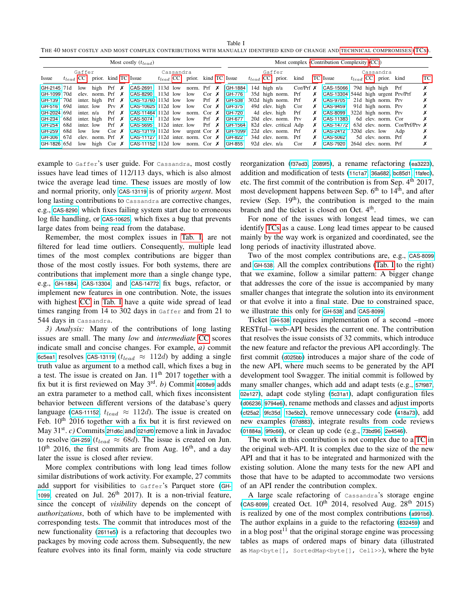<span id="page-2-0"></span>Table I THE 40 MOST COSTLY AND MOST COMPLEX CONTRIBUTIONS WITH MANUALLY IDENTIFIED KIND OF CHANGE AND [TECHNICAL COMPROMISES](#page-0-1) [\(TC](#page-0-1)S).

|             | Most costly $(t_{lead})$ |            |                                    |  |  |                                                                                                        |  |  |                                    |  |  |                         | Most complex (Contribution Complexity (CC)) |               |                        |      |  |                                        |                |  |                           |                                      |    |  |
|-------------|--------------------------|------------|------------------------------------|--|--|--------------------------------------------------------------------------------------------------------|--|--|------------------------------------|--|--|-------------------------|---------------------------------------------|---------------|------------------------|------|--|----------------------------------------|----------------|--|---------------------------|--------------------------------------|----|--|
|             | Gaffer                   |            |                                    |  |  | Cassandra                                                                                              |  |  |                                    |  |  | Gaffer                  |                                             |               |                        |      |  | Cassandra                              |                |  |                           |                                      |    |  |
| Issue       |                          |            | $t_{lead}$ CC prior. kind TC Issue |  |  |                                                                                                        |  |  | $t_{lead}$ CC prior. kind TC Issue |  |  |                         |                                             |               | $t_{lead}$ CC prior.   | kind |  | TC Issue                               |                |  | $t_{lead}$ CC prior. kind |                                      | TС |  |
| GH-2145 71d |                          | low        |                                    |  |  | high Prf $\times$ CAS-2691 113d low norm. Prf $\times$ GH-1884 14d high n/a Cor/Prf $\times$ CAS-15066 |  |  |                                    |  |  |                         |                                             |               |                        |      |  |                                        |                |  | 79d high high Prf         |                                      | х  |  |
| GH-1099 70d |                          |            |                                    |  |  | elev. norm. Prf $\times$ CAS-8290 113d low                                                             |  |  | $low$ Cor $\chi$                   |  |  | GH-776                  |                                             |               | 35d high norm. Prf     |      |  | $X$ CAS-13304 544d high urgent Prv/Prf |                |  |                           |                                      | х  |  |
| GH-139 70d  |                          |            |                                    |  |  | inter high Prf $\times$ CAS-13760 113d low low Prf $\times$                                            |  |  |                                    |  |  | GH-538                  |                                             |               | 302d high norm. Prf    |      |  | $X$ CAS-9705                           |                |  | 21d high norm. Prv        |                                      | х  |  |
| GH-516 69d  |                          | inter. low |                                    |  |  | Prv $\times$ CAS-10625 112d low                                                                        |  |  | $low$ Cor $\chi$                   |  |  | GH-375                  |                                             |               | 49d elev. high         | Cor  |  | $X$ CAS-9459                           |                |  | 91d high norm. Prv        |                                      | х  |  |
| GH-2024 69d |                          | inter. n/a |                                    |  |  | Prf $\times$ CAS-11464 112d low                                                                        |  |  |                                    |  |  | norm. Cor $\chi$ GH-720 |                                             |               | 4d elev high Prf       |      |  | $X$ CAS-8099                           |                |  | 322d high norm. Prv       |                                      |    |  |
| GH-234 68d  |                          |            | inter. high                        |  |  | Prf $\times$ CAS-5074 112d low low                                                                     |  |  |                                    |  |  | $Prf \times  GH-677 $   |                                             |               | 20d elev. norm. Prv    |      |  | $X$ CAS-11383                          |                |  | 6d elev. norm. Cor        |                                      | х  |  |
| GH-254 68d  |                          | inter. low |                                    |  |  | Prf $\times$ CAS-5695 112d inter. low Prf $\times$ GH-1564                                             |  |  |                                    |  |  |                         |                                             |               | 82d elev. critical Adp |      |  | $X$ CAS-14772                          |                |  |                           | 63d elev. norm. Cor/Prf/Prv $\times$ |    |  |
| GH-259 68d  |                          | low low    |                                    |  |  | Cor X CAS-13119 112d low urgent Cor X   GH-1099 22d elev. norm. Prf                                    |  |  |                                    |  |  |                         |                                             |               |                        |      |  | $X$ CAS-2412                           | 320d elev. low |  |                           | Adp                                  | х  |  |
| GH-306 67d  |                          |            |                                    |  |  | elev. norm. Prf $\bm{X}$ CAS-11127 112d inter. norm. Cor $\bm{X}$ GH-822                               |  |  |                                    |  |  |                         |                                             |               | 34d elev. norm. Prf    |      |  | $X$ CAS-5062                           |                |  | 5d elev. norm. Prf        |                                      |    |  |
| GH-1826 65d |                          |            |                                    |  |  | low high Cor $\times$ CAS-11152 112d low norm. Cor $\times$ GH-855                                     |  |  |                                    |  |  |                         |                                             | 92d elev. n/a |                        | Cor  |  | $X$ CAS-7920                           |                |  | 264d elev. norm. Prf      |                                      |    |  |

example to Gaffer's user guide. For Cassandra, most costly issues have lead times of 112/113 days, which is also almost twice the average lead time. These issues are mostly of low and normal priority, only [CAS-13119](https://issues.apache.org/jira/browse/CASSANDRA-13119) is of priority *urgent*. Most long lasting contributions to Cassandra are corrective changes, e.g., [CAS-8290](https://issues.apache.org/jira/browse/CASSANDRA-8290), which fixes failing system start due to erroneous log file handling, or [CAS-10625](https://issues.apache.org/jira/browse/CASSANDRA-10625), which fixes a bug that prevents large dates from being read from the database.

Remember, the most complex issues in [Tab. I,](#page-2-0) are not filtered for lead time outliers. Consequently, multiple lead times of the most complex contributions are bigger than those of the most costly issues. For both systems, there are contributions that implement more than a single change type, e.g., [GH-1884](https://github.com/gchq/Gaffer/issues/1884), [CAS-13304](https://issues.apache.org/jira/browse/CASSANDRA-13304), and [CAS-14772](https://issues.apache.org/jira/browse/CASSANDRA-14772) fix bugs, refactor, or implement new features in one contribution. Note, the issues with highest [CC](#page-0-1) in [Tab. I](#page-2-0) have a quite wide spread of lead times ranging from 14 to 302 days in Gaffer and from 21 to 544 days in Cassandra.

*3) Analysis:* Many of the contributions of long lasting issues are small. The many *low* and *intermediate* [CC](#page-0-1) scores indicate small and concise changes. For example, *a)* commit [6c5ea1](https://github.com/apache/cassandra/commit/6c5ea192c75072ba3f7369dfc23592d6ed0c319f) resolves [CAS-13119](https://issues.apache.org/jira/browse/CASSANDRA-13119) ( $t_{lead} \approx 112d$ ) by adding a single truth value as argument to a method call, which fixes a bug in a test. The issue is created on Jan.  $11<sup>th</sup>$  2017 together with a fix but it is first reviewed on May 3rd . *b)* Commit [4008e9](https://github.com/apache/cassandra/commit/4008e9bd3fd8b6fca2f3c9f935b9f5dfa97116ad) adds an extra parameter to a method call, which fixes inconsistent behavior between different versions of the database's query language ([CAS-11152](https://issues.apache.org/jira/browse/CASSANDRA-11152),  $t_{lead} \approx 112d$ ). The issue is created on Feb.  $10^{th}$  2016 together with a fix but it is first reviewed on May 31st . *c)* Commits [2f1d6c](https://github.com/gchq/Gaffer/commit/2f1d6c7254342af98c2919bd74d37b9944c41a6b) and [021df0](https://github.com/gchq/Gaffer/commit/021df085074b761f2b3539355ecfc4c237a54a76) remove a link in Javadoc to resolve [GH-259](https://github.com/gchq/Gaffer/issues/259) ( $t_{lead} \approx 68d$ ). The issue is created on Jun.  $10<sup>th</sup>$  2016, the first commits are from Aug. 16<sup>th</sup>, and a day later the issue is closed after review.

More complex contributions with long lead times follow similar distributions of work activity. For example, 27 commits add support for visibilities to Gaffer's Parquet store ([GH-](https://github.com/gchq/Gaffer/issues/1099)[1099](https://github.com/gchq/Gaffer/issues/1099), created on Jul.  $26<sup>th</sup>$  2017). It is a non-trivial feature, since the concept of *visibility* depends on the concept of *authorizations*, both of which have to be implemented with corresponding tests. The commit that introduces most of the new functionality ([2611e5](https://github.com/gchq/Gaffer/commit/2611e58485dc55f4efadb1c1750842b8306becb1)) is a refactoring that decouples two packages by moving code across them. Subsequently, the new feature evolves into its final form, mainly via code structure

reorganization ([f37ed3](https://github.com/gchq/Gaffer/commit/f37ed30d2a682c9c248b34bb23bf2fbab43ce50d), [2089f5](https://github.com/gchq/Gaffer/commit/2089f53e12bd9eef197c4b0504d28d4a7d3a8c74)), a rename refactoring ([ea3223](https://github.com/gchq/Gaffer/commit/ea32235cfb28b640c602fb90dc9aa9ed21fda9ab)), addition and modification of tests ([11c1a7](https://github.com/gchq/Gaffer/commit/11c1a7f692a11f294e1d437582c4f6c6d754567e), [36a682](https://github.com/gchq/Gaffer/commit/36a6821dfb35e85c5cc322801ed0d9b52bb8d0f4), [bc85d1](https://github.com/gchq/Gaffer/commit/bc85d1ddbec75f6c8b452d648ed4bbd020349ce6), [1fafec](https://github.com/gchq/Gaffer/commit/1fafec2e0358c622ec71a3687bafc6fb9abf2299)), etc. The first commit of the contribution is from Sep.  $4<sup>th</sup>$  2017, most development happens between Sep.  $6<sup>th</sup>$  to  $14<sup>th</sup>$ , and after review (Sep.  $19<sup>th</sup>$ ), the contribution is merged to the main branch and the ticket is closed on Oct. 4<sup>th</sup>.

For none of the issues with longest lead times, we can identify [TCs](#page-0-1) as a cause. Long lead times appear to be caused mainly by the way work is organized and coordinated, see the long periods of inactivity illustrated above.

Two of the most complex contributions are, e.g., [CAS-8099](https://issues.apache.org/jira/browse/CASSANDRA-8099) and [GH-538](https://github.com/gchq/Gaffer/issues/538). All the complex contributions [\(Tab. I](#page-2-0) to the right) that we examine, follow a similar pattern: A bigger change that addresses the core of the issue is accompanied by many smaller changes that integrate the solution into its environment or that evolve it into a final state. Due to constrained space, we illustrate this only for [GH-538](https://github.com/gchq/Gaffer/issues/538) and [CAS-8099](https://issues.apache.org/jira/browse/CASSANDRA-8099).

Ticket [GH-538](https://github.com/gchq/Gaffer/issues/538) requires implementation of a second –more RESTful– web-API besides the current one. The contribution that resolves the issue consists of 32 commits, which introduce the new feature and refactor the previous API accordingly. The first commit ([d025bb](https://github.com/gchq/Gaffer/commit/d025bb3b82fd73ecc9b1bfb0fb7278446f150dfd)) introduces a major share of the code of the new API, where much seems to be generated by the API development tool Swagger. The initial commit is followed by many smaller changes, which add and adapt tests (e.g., [57f987](https://github.com/gchq/Gaffer/commit/57f987d1140ccf7b609d2763cafdafbce627868c), [02e127](https://github.com/gchq/Gaffer/commit/02e127a56f974e7820a6a010c203e12b276696f4)), adapt code styling ([5c31a1](https://github.com/gchq/Gaffer/commit/5c31a186f4108098282d3de197ef09a6c3742761)), adapt configuration files ([d06236](https://github.com/gchq/Gaffer/commit/d062367ea2ab3c9ed2bacd0d352cf17a7847d656), [9794e6](https://github.com/gchq/Gaffer/commit/9794e6bf9dc29daa6f685f119a9c24494fb519e2)), rename methods and classes and adjust imports ([cf25a2](https://github.com/gchq/Gaffer/commit/cf25a2c8a8f0c0486a85339551cc488b0bb9d24f), [9fc35d](https://github.com/gchq/Gaffer/commit/9fc35d867412fe9a148c82d2a5a741f10cb84d40), [13e5b2](https://github.com/gchq/Gaffer/commit/13e5b2cc3d210f44b48e2b624a520eb84f077881)), remove unnecessary code ([418a73](https://github.com/gchq/Gaffer/commit/418a7314ee99ba9fe5ee80a9281e6d8934b2beef)), add new examples ([07d883](https://github.com/gchq/Gaffer/commit/07d883d2522c0b023c75983fd1035b502468c9b1)), integrate results from code reviews ([01884a](https://github.com/gchq/Gaffer/commit/01884a80e4916f8c08f5b546a95f27a8d6c2b060), [9f9c66](https://github.com/gchq/Gaffer/commit/9f9c663eada406bd85e24aa0e9138c8d405344f7)), or clean up code (e.g., [73bd96](https://github.com/gchq/Gaffer/commit/73bd9630aa5e92ace4bf293f61ef7ad72eb4a1b9), [2e4546](https://github.com/gchq/Gaffer/commit/2e45463d1a1a3f9f7dcfa53612a3ee1c64cb3dea)).

The work in this contribution is not complex due to a [TC](#page-0-1) in the original web-API. It is complex due to the size of the new API and that it has to be integrated and harmonized with the existing solution. Alone the many tests for the new API and those that have to be adapted to accommodate two versions of an API render the contribution complex.

A large scale refactoring of Cassandra's storage engine ([CAS-8099](https://issues.apache.org/jira/browse/CASSANDRA-8099), created Oct.  $10^{th}$  2014, resolved Aug.  $28^{th}$  2015) is realized by one of the most complex contributions ([a991b6](https://github.com/apache/cassandra/commit/a991b64811f4d6adb6c7b31c0df52288eb06cf19)). The author explains in a guide to the refactoring ([832459](https://github.com/apache/cassandra/commit/a991b64811f4d6adb6c7b31c0df52288eb06cf19#diff-832459e86261a9937b61cdcb769930cfbfdf1994387a46c2afec97b060a459bb)) and in a blog post<sup>11</sup> that the original storage engine was processing tables as maps of ordered maps of binary data (illustrated as Map<br/>byte[], SortedMap<br/>byte[], Cell>>), where the byte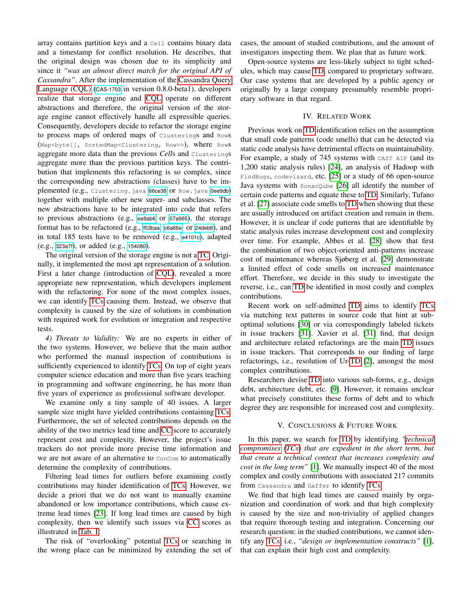array contains partition keys and a Cell contains binary data and a timestamp for conflict resolution. He describes, that the original design was chosen due to its simplicity and since it *"was an almost direct match for the original API of Cassandra"*. After the implementation of the [Cassandra Query](#page-0-1) [Language \(CQL\)](#page-0-1) ([CAS-1703](https://issues.apache.org/jira/browse/CASSANDRA-1703) in version 0.8.0-beta1), developers realize that storage engine and [CQL](#page-0-1) operate on different abstractions and therefore, the original version of the storage engine cannot effectively handle all expressible queries. Consequently, developers decide to refactor the storage engine to process maps of ordered maps of Clusterings and Rows (Map<byte[], SortedMap<Clustering, Row>>), where Rows aggregate more data than the previous *Cell*s and Clusterings aggregate more than the previous partition keys. The contribution that implements this refactoring is so complex, since the corresponding new abstractions (classes) have to be im-plemented (e.g., Clustering.java [66ce38](https://github.com/apache/cassandra/commit/a991b64811f4d6adb6c7b31c0df52288eb06cf19#diff-66ce38fe8a846aa51776993fa4a0fcdfad00736e5b69f3debde21557a25726cb) OT Row.java [0ee9db](https://github.com/apache/cassandra/commit/a991b64811f4d6adb6c7b31c0df52288eb06cf19#diff-0ee9db2765ff2308fc5ed8eab7dd50005ad648f914abdbe5ae40b3e3c6aeb694)) together with multiple other new super- and subclasses. The new abstractions have to be integrated into code that refers to previous abstractions (e.g., [ea9ab6](https://github.com/apache/cassandra/commit/a991b64811f4d6adb6c7b31c0df52288eb06cf19#diff-ea9ab63e16b21c20f447a2e84fbeb0bc7c392be26fcca3277b39ce20a18b1532) or [07a665](https://github.com/apache/cassandra/commit/a991b64811f4d6adb6c7b31c0df52288eb06cf19#diff-07a665db0768ace8b885533d0aa3b3747479d4215ce2ad556e0cd232ddbc34cf)), the storage format has to be refactored (e.g., [f53baa](https://github.com/apache/cassandra/commit/a991b64811f4d6adb6c7b31c0df52288eb06cf19#diff-f53baae30fe1ab8d1cfad7e590b731bde8b8fa7d68ba3e821f42b41056e91dd3), [c6a66e](https://github.com/apache/cassandra/commit/a991b64811f4d6adb6c7b31c0df52288eb06cf19#diff-c6a66e3512b2327f9e8ac88667d7562bc8a88e143140d1781680c465c3a615b9), or [24deb6](https://github.com/apache/cassandra/commit/a991b64811f4d6adb6c7b31c0df52288eb06cf19#diff-24deb68e28a41ffdaa2d568946a5e116af3d5e338308046f81fafaea6dea0d36)), and in total 185 tests have to be removed (e.g., [e4101c](https://github.com/apache/cassandra/commit/a991b64811f4d6adb6c7b31c0df52288eb06cf19#diff-e4101c6e588cf362bddb3dbefcd94d144718817eacd1629ebcafecc8a608a9a0)), adapted (e.g., [323a7f](https://github.com/apache/cassandra/commit/a991b64811f4d6adb6c7b31c0df52288eb06cf19#diff-323a7f9c40bfb8e3702a0825b87b29994e2f64e5a74381ff98f4ffcd48e766f4)), or added (e.g., [154080](https://github.com/apache/cassandra/commit/a991b64811f4d6adb6c7b31c0df52288eb06cf19#diff-15408000f294f7e5b707cfda2ad84d3aea0d312ba2dc08df3fd2210958647177)).

The original version of the storage engine is not a [TC.](#page-0-1) Originally, it implemented the most apt representation of a solution. First a later change (introduction of [CQL\)](#page-0-1), revealed a more appropriate new representation, which developers implement with the refactoring. For none of the most complex issues, we can identify [TCs](#page-0-1) causing them. Instead, we observe that complexity is caused by the size of solutions in combination with required work for evolution or integration and respective tests.

*4) Threats to Validity:* We are no experts in either of the two systems. However, we believe that the main author who performed the manual inspection of contributions is sufficiently experienced to identify [TCs.](#page-0-1) On top of eight years computer science education and more than five years teaching in programming and software engineering, he has more than five years of experience as professional software developer.

We examine only a tiny sample of 40 issues. A larger sample size might have yielded contributions containing [TCs.](#page-0-1) Furthermore, the set of selected contributions depends on the ability of the two metrics lead time and [CC](#page-0-1) score to accurately represent cost and complexity. However, the project's issue trackers do not provide more precise time information and we are not aware of an alternative to ConCom to automatically determine the complexity of contributions.

Filtering lead times for outliers before examining costly contributions may hinder identification of [TCs.](#page-0-1) However, we decide a priori that we do not want to manually examine abandoned or low importance contributions, which cause extreme lead times [\[23\]](#page-4-21). If long lead times are caused by high complexity, then we identify such issues via [CC](#page-0-1) scores as illustrated in [Tab. I.](#page-2-0)

The risk of "overlooking" potential [TCs](#page-0-1) or searching in the wrong place can be minimized by extending the set of cases, the amount of studied contributions, and the amount of investigators inspecting them. We plan that as future work.

Open-source systems are less-likely subject to tight schedules, which may cause [TD,](#page-0-1) compared to proprietary software. Our case systems that are developed by a public agency or originally by a large company presumably resemble proprietary software in that regard.

## IV. RELATED WORK

Previous work on [TD](#page-0-1) identification relies on the assumption that small code patterns (code smells) that can be detected via static code analysis have detrimental effects on maintainability. For example, a study of 745 systems with CAST AIP (and its 1,200 static analysis rules) [\[24\]](#page-4-22), an analysis of Hadoop with FindBugs, codevizard, etc. [\[25\]](#page-4-23) or a study of 66 open-source Java systems with SonarQube [\[26\]](#page-4-24) all identify the number of certain code patterns and equate these to [TD.](#page-0-1) Similarly, Tufano et al. [\[27\]](#page-4-25) associate code smells to [TD](#page-0-1) when showing that these are usually introduced on artifact creation and remain in them. However, it is unclear if code patterns that are identifiable by static analysis rules increase development cost and complexity over time. For example, Abbes et al. [\[28\]](#page-4-26) show that first the combination of two object-oriented anti-patterns increase cost of maintenance whereas Sjøberg et al. [\[29\]](#page-4-27) demonstrate a limited effect of code smells on increased maintenance effort. Therefore, we decide in this study to investigate the reverse, i.e., can [TD](#page-0-1) be identified in most costly and complex contributions.

Recent work on self-admitted [TD](#page-0-1) aims to identify [TCs](#page-0-1) via matching text patterns in source code that hint at suboptimal solutions [\[30\]](#page-4-28) or via correspondingly labeled tickets in issue trackers [\[31\]](#page-4-29). Xavier et al. [\[31\]](#page-4-29) find, that design and architecture related refactorings are the main [TD](#page-0-1) issues in issue trackers. That corresponds to our finding of large refactorings, i.e., resolution of Ur[-TD](#page-0-1) [\[2\]](#page-4-1), amongst the most complex contributions.

Researchers devise [TD](#page-0-1) into various sub-forms, e.g., design debt, architecture debt, etc. [\[9\]](#page-4-8). However, it remains unclear what precisely constitutes these forms of debt and to which degree they are responsible for increased cost and complexity.

## V. CONCLUSIONS & FUTURE WORK

<span id="page-3-0"></span>In this paper, we search for [TD](#page-0-1) by identifying *["technical](#page-0-1) [compromises](#page-0-1) [\(TCs\)](#page-0-1) that are expedient in the short term, but that create a technical context that increases complexity and cost in the long term"* [\[1\]](#page-4-0). We manually inspect 40 of the most complex and costly contributions with associated 217 commits from Cassandra and Gaffer to identify [TCs.](#page-0-1)

We find that high lead times are caused mainly by organization and coordination of work and that high complexity is caused by the size and non-triviality of applied changes that require thorough testing and integration. Concerning our research question: in the studied contributions, we cannot identify any [TCs,](#page-0-1) i.e., *"design or implementation constructs"* [\[1\]](#page-4-0), that can explain their high cost and complexity.